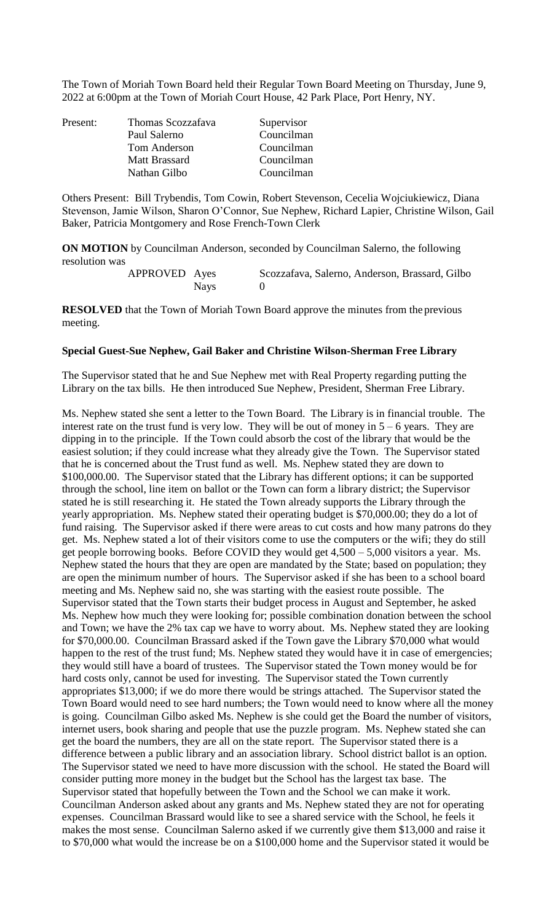The Town of Moriah Town Board held their Regular Town Board Meeting on Thursday, June 9, 2022 at 6:00pm at the Town of Moriah Court House, 42 Park Place, Port Henry, NY.

| Present: | Thomas Scozzafava | Supervisor |
|----------|-------------------|------------|
|          | Paul Salerno      | Councilman |
|          | Tom Anderson      | Councilman |
|          | Matt Brassard     | Councilman |
|          | Nathan Gilbo      | Councilman |

Others Present: Bill Trybendis, Tom Cowin, Robert Stevenson, Cecelia Wojciukiewicz, Diana Stevenson, Jamie Wilson, Sharon O'Connor, Sue Nephew, Richard Lapier, Christine Wilson, Gail Baker, Patricia Montgomery and Rose French-Town Clerk

**ON MOTION** by Councilman Anderson, seconded by Councilman Salerno, the following resolution was

| APPROVED Ayes |             | Scozzafava, Salerno, Anderson, Brassard, Gilbo |
|---------------|-------------|------------------------------------------------|
|               | <b>Navs</b> |                                                |

**RESOLVED** that the Town of Moriah Town Board approve the minutes from the previous meeting.

## **Special Guest-Sue Nephew, Gail Baker and Christine Wilson-Sherman Free Library**

The Supervisor stated that he and Sue Nephew met with Real Property regarding putting the Library on the tax bills. He then introduced Sue Nephew, President, Sherman Free Library.

Ms. Nephew stated she sent a letter to the Town Board. The Library is in financial trouble. The interest rate on the trust fund is very low. They will be out of money in  $5 - 6$  years. They are dipping in to the principle. If the Town could absorb the cost of the library that would be the easiest solution; if they could increase what they already give the Town. The Supervisor stated that he is concerned about the Trust fund as well. Ms. Nephew stated they are down to \$100,000.00. The Supervisor stated that the Library has different options; it can be supported through the school, line item on ballot or the Town can form a library district; the Supervisor stated he is still researching it. He stated the Town already supports the Library through the yearly appropriation. Ms. Nephew stated their operating budget is \$70,000.00; they do a lot of fund raising. The Supervisor asked if there were areas to cut costs and how many patrons do they get. Ms. Nephew stated a lot of their visitors come to use the computers or the wifi; they do still get people borrowing books. Before COVID they would get 4,500 – 5,000 visitors a year. Ms. Nephew stated the hours that they are open are mandated by the State; based on population; they are open the minimum number of hours. The Supervisor asked if she has been to a school board meeting and Ms. Nephew said no, she was starting with the easiest route possible. The Supervisor stated that the Town starts their budget process in August and September, he asked Ms. Nephew how much they were looking for; possible combination donation between the school and Town; we have the 2% tax cap we have to worry about. Ms. Nephew stated they are looking for \$70,000.00. Councilman Brassard asked if the Town gave the Library \$70,000 what would happen to the rest of the trust fund; Ms. Nephew stated they would have it in case of emergencies; they would still have a board of trustees. The Supervisor stated the Town money would be for hard costs only, cannot be used for investing. The Supervisor stated the Town currently appropriates \$13,000; if we do more there would be strings attached. The Supervisor stated the Town Board would need to see hard numbers; the Town would need to know where all the money is going. Councilman Gilbo asked Ms. Nephew is she could get the Board the number of visitors, internet users, book sharing and people that use the puzzle program. Ms. Nephew stated she can get the board the numbers, they are all on the state report. The Supervisor stated there is a difference between a public library and an association library. School district ballot is an option. The Supervisor stated we need to have more discussion with the school. He stated the Board will consider putting more money in the budget but the School has the largest tax base. The Supervisor stated that hopefully between the Town and the School we can make it work. Councilman Anderson asked about any grants and Ms. Nephew stated they are not for operating expenses. Councilman Brassard would like to see a shared service with the School, he feels it makes the most sense. Councilman Salerno asked if we currently give them \$13,000 and raise it to \$70,000 what would the increase be on a \$100,000 home and the Supervisor stated it would be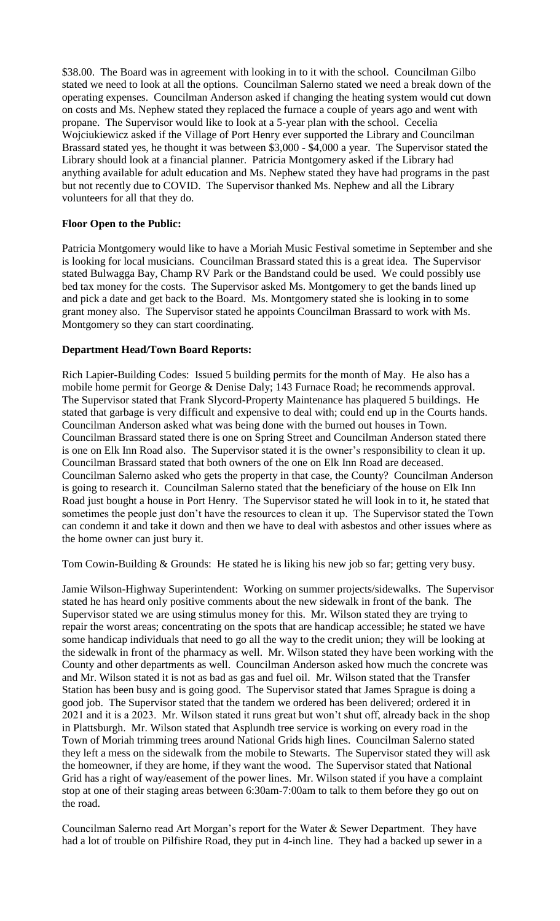\$38.00. The Board was in agreement with looking in to it with the school. Councilman Gilbo stated we need to look at all the options. Councilman Salerno stated we need a break down of the operating expenses. Councilman Anderson asked if changing the heating system would cut down on costs and Ms. Nephew stated they replaced the furnace a couple of years ago and went with propane. The Supervisor would like to look at a 5-year plan with the school. Cecelia Wojciukiewicz asked if the Village of Port Henry ever supported the Library and Councilman Brassard stated yes, he thought it was between \$3,000 - \$4,000 a year. The Supervisor stated the Library should look at a financial planner. Patricia Montgomery asked if the Library had anything available for adult education and Ms. Nephew stated they have had programs in the past but not recently due to COVID. The Supervisor thanked Ms. Nephew and all the Library volunteers for all that they do.

# **Floor Open to the Public:**

Patricia Montgomery would like to have a Moriah Music Festival sometime in September and she is looking for local musicians. Councilman Brassard stated this is a great idea. The Supervisor stated Bulwagga Bay, Champ RV Park or the Bandstand could be used. We could possibly use bed tax money for the costs. The Supervisor asked Ms. Montgomery to get the bands lined up and pick a date and get back to the Board. Ms. Montgomery stated she is looking in to some grant money also. The Supervisor stated he appoints Councilman Brassard to work with Ms. Montgomery so they can start coordinating.

# **Department Head/Town Board Reports:**

Rich Lapier-Building Codes: Issued 5 building permits for the month of May. He also has a mobile home permit for George & Denise Daly; 143 Furnace Road; he recommends approval. The Supervisor stated that Frank Slycord-Property Maintenance has plaquered 5 buildings. He stated that garbage is very difficult and expensive to deal with; could end up in the Courts hands. Councilman Anderson asked what was being done with the burned out houses in Town. Councilman Brassard stated there is one on Spring Street and Councilman Anderson stated there is one on Elk Inn Road also. The Supervisor stated it is the owner's responsibility to clean it up. Councilman Brassard stated that both owners of the one on Elk Inn Road are deceased. Councilman Salerno asked who gets the property in that case, the County? Councilman Anderson is going to research it. Councilman Salerno stated that the beneficiary of the house on Elk Inn Road just bought a house in Port Henry. The Supervisor stated he will look in to it, he stated that sometimes the people just don't have the resources to clean it up. The Supervisor stated the Town can condemn it and take it down and then we have to deal with asbestos and other issues where as the home owner can just bury it.

Tom Cowin-Building & Grounds: He stated he is liking his new job so far; getting very busy.

Jamie Wilson-Highway Superintendent: Working on summer projects/sidewalks. The Supervisor stated he has heard only positive comments about the new sidewalk in front of the bank. The Supervisor stated we are using stimulus money for this. Mr. Wilson stated they are trying to repair the worst areas; concentrating on the spots that are handicap accessible; he stated we have some handicap individuals that need to go all the way to the credit union; they will be looking at the sidewalk in front of the pharmacy as well. Mr. Wilson stated they have been working with the County and other departments as well. Councilman Anderson asked how much the concrete was and Mr. Wilson stated it is not as bad as gas and fuel oil. Mr. Wilson stated that the Transfer Station has been busy and is going good. The Supervisor stated that James Sprague is doing a good job. The Supervisor stated that the tandem we ordered has been delivered; ordered it in 2021 and it is a 2023. Mr. Wilson stated it runs great but won't shut off, already back in the shop in Plattsburgh. Mr. Wilson stated that Asplundh tree service is working on every road in the Town of Moriah trimming trees around National Grids high lines. Councilman Salerno stated they left a mess on the sidewalk from the mobile to Stewarts. The Supervisor stated they will ask the homeowner, if they are home, if they want the wood. The Supervisor stated that National Grid has a right of way/easement of the power lines. Mr. Wilson stated if you have a complaint stop at one of their staging areas between 6:30am-7:00am to talk to them before they go out on the road.

Councilman Salerno read Art Morgan's report for the Water & Sewer Department. They have had a lot of trouble on Pilfishire Road, they put in 4-inch line. They had a backed up sewer in a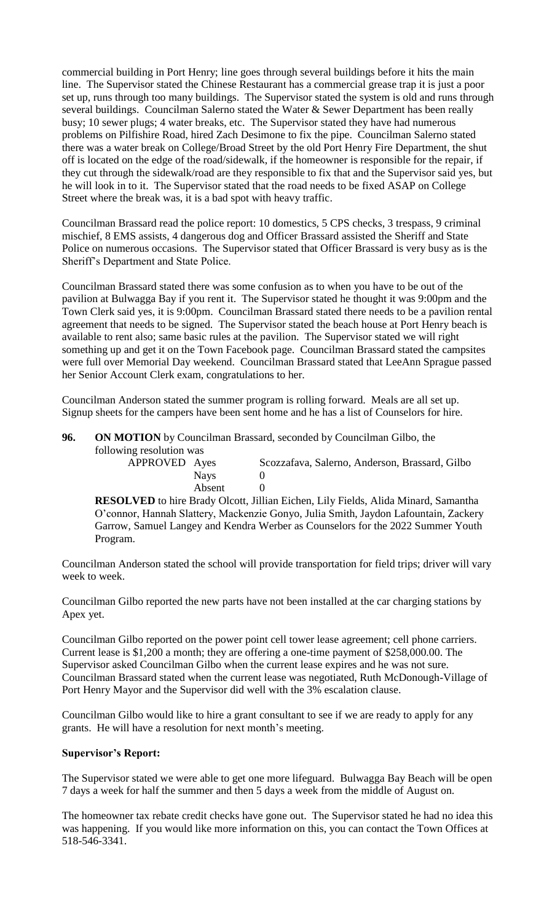commercial building in Port Henry; line goes through several buildings before it hits the main line. The Supervisor stated the Chinese Restaurant has a commercial grease trap it is just a poor set up, runs through too many buildings. The Supervisor stated the system is old and runs through several buildings. Councilman Salerno stated the Water & Sewer Department has been really busy; 10 sewer plugs; 4 water breaks, etc. The Supervisor stated they have had numerous problems on Pilfishire Road, hired Zach Desimone to fix the pipe. Councilman Salerno stated there was a water break on College/Broad Street by the old Port Henry Fire Department, the shut off is located on the edge of the road/sidewalk, if the homeowner is responsible for the repair, if they cut through the sidewalk/road are they responsible to fix that and the Supervisor said yes, but he will look in to it. The Supervisor stated that the road needs to be fixed ASAP on College Street where the break was, it is a bad spot with heavy traffic.

Councilman Brassard read the police report: 10 domestics, 5 CPS checks, 3 trespass, 9 criminal mischief, 8 EMS assists, 4 dangerous dog and Officer Brassard assisted the Sheriff and State Police on numerous occasions. The Supervisor stated that Officer Brassard is very busy as is the Sheriff's Department and State Police.

Councilman Brassard stated there was some confusion as to when you have to be out of the pavilion at Bulwagga Bay if you rent it. The Supervisor stated he thought it was 9:00pm and the Town Clerk said yes, it is 9:00pm. Councilman Brassard stated there needs to be a pavilion rental agreement that needs to be signed. The Supervisor stated the beach house at Port Henry beach is available to rent also; same basic rules at the pavilion. The Supervisor stated we will right something up and get it on the Town Facebook page. Councilman Brassard stated the campsites were full over Memorial Day weekend. Councilman Brassard stated that LeeAnn Sprague passed her Senior Account Clerk exam, congratulations to her.

Councilman Anderson stated the summer program is rolling forward. Meals are all set up. Signup sheets for the campers have been sent home and he has a list of Counselors for hire.

**96. ON MOTION** by Councilman Brassard, seconded by Councilman Gilbo, the following resolution was

> APPROVED Ayes Scozzafava, Salerno, Anderson, Brassard, Gilbo Nays 0 Absent 0

**RESOLVED** to hire Brady Olcott, Jillian Eichen, Lily Fields, Alida Minard, Samantha O'connor, Hannah Slattery, Mackenzie Gonyo, Julia Smith, Jaydon Lafountain, Zackery Garrow, Samuel Langey and Kendra Werber as Counselors for the 2022 Summer Youth Program.

Councilman Anderson stated the school will provide transportation for field trips; driver will vary week to week.

Councilman Gilbo reported the new parts have not been installed at the car charging stations by Apex yet.

Councilman Gilbo reported on the power point cell tower lease agreement; cell phone carriers. Current lease is \$1,200 a month; they are offering a one-time payment of \$258,000.00. The Supervisor asked Councilman Gilbo when the current lease expires and he was not sure. Councilman Brassard stated when the current lease was negotiated, Ruth McDonough-Village of Port Henry Mayor and the Supervisor did well with the 3% escalation clause.

Councilman Gilbo would like to hire a grant consultant to see if we are ready to apply for any grants. He will have a resolution for next month's meeting.

# **Supervisor's Report:**

The Supervisor stated we were able to get one more lifeguard. Bulwagga Bay Beach will be open 7 days a week for half the summer and then 5 days a week from the middle of August on.

The homeowner tax rebate credit checks have gone out. The Supervisor stated he had no idea this was happening. If you would like more information on this, you can contact the Town Offices at 518-546-3341.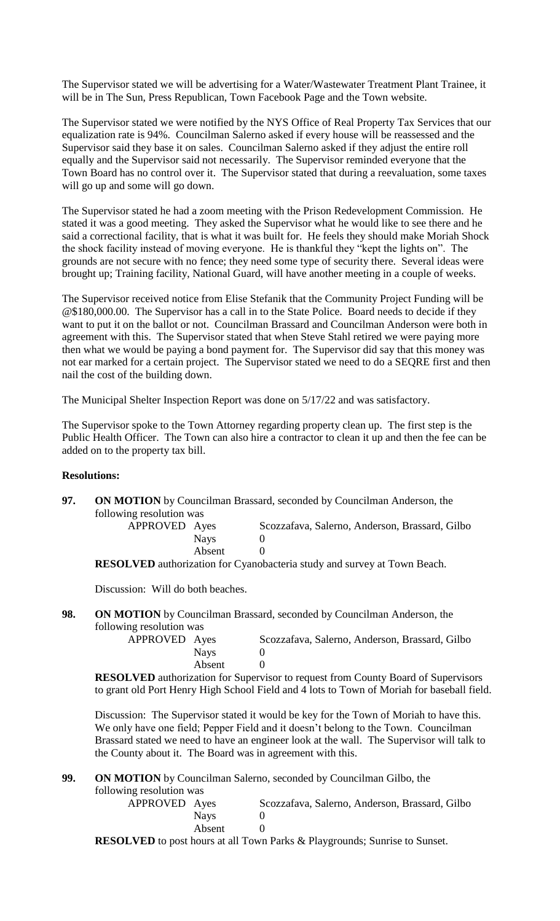The Supervisor stated we will be advertising for a Water/Wastewater Treatment Plant Trainee, it will be in The Sun, Press Republican, Town Facebook Page and the Town website.

The Supervisor stated we were notified by the NYS Office of Real Property Tax Services that our equalization rate is 94%. Councilman Salerno asked if every house will be reassessed and the Supervisor said they base it on sales. Councilman Salerno asked if they adjust the entire roll equally and the Supervisor said not necessarily. The Supervisor reminded everyone that the Town Board has no control over it. The Supervisor stated that during a reevaluation, some taxes will go up and some will go down.

The Supervisor stated he had a zoom meeting with the Prison Redevelopment Commission. He stated it was a good meeting. They asked the Supervisor what he would like to see there and he said a correctional facility, that is what it was built for. He feels they should make Moriah Shock the shock facility instead of moving everyone. He is thankful they "kept the lights on". The grounds are not secure with no fence; they need some type of security there. Several ideas were brought up; Training facility, National Guard, will have another meeting in a couple of weeks.

The Supervisor received notice from Elise Stefanik that the Community Project Funding will be @\$180,000.00. The Supervisor has a call in to the State Police. Board needs to decide if they want to put it on the ballot or not. Councilman Brassard and Councilman Anderson were both in agreement with this. The Supervisor stated that when Steve Stahl retired we were paying more then what we would be paying a bond payment for. The Supervisor did say that this money was not ear marked for a certain project. The Supervisor stated we need to do a SEQRE first and then nail the cost of the building down.

The Municipal Shelter Inspection Report was done on 5/17/22 and was satisfactory.

The Supervisor spoke to the Town Attorney regarding property clean up. The first step is the Public Health Officer. The Town can also hire a contractor to clean it up and then the fee can be added on to the property tax bill.

#### **Resolutions:**

| 97. |                          |             | <b>ON MOTION</b> by Councilman Brassard, seconded by Councilman Anderson, the   |
|-----|--------------------------|-------------|---------------------------------------------------------------------------------|
|     | following resolution was |             |                                                                                 |
|     | APPROVED Ayes            |             | Scozzafava, Salerno, Anderson, Brassard, Gilbo                                  |
|     |                          | <b>Nays</b> |                                                                                 |
|     |                          | Absent      |                                                                                 |
|     |                          |             | <b>DECOL VED</b> outhoursetion for Cymphegtonic study and survey at Town Doogle |

**RESOLVED** authorization for Cyanobacteria study and survey at Town Beach.

Discussion: Will do both beaches.

**98. ON MOTION** by Councilman Brassard, seconded by Councilman Anderson, the following resolution was

| APPROVED Ayes |        | Scozzafava, Salerno, Anderson, Brassard, Gilbo |
|---------------|--------|------------------------------------------------|
|               | Navs   |                                                |
|               | Absent |                                                |

**RESOLVED** authorization for Supervisor to request from County Board of Supervisors to grant old Port Henry High School Field and 4 lots to Town of Moriah for baseball field.

Discussion: The Supervisor stated it would be key for the Town of Moriah to have this. We only have one field; Pepper Field and it doesn't belong to the Town. Councilman Brassard stated we need to have an engineer look at the wall. The Supervisor will talk to the County about it. The Board was in agreement with this.

**99. ON MOTION** by Councilman Salerno, seconded by Councilman Gilbo, the

following resolution was APPROV

| ED Ayes     | Scozzafava, Salerno, Anderson, Brassard, Gilbo |
|-------------|------------------------------------------------|
| <b>Nays</b> |                                                |
| Absent      |                                                |
|             |                                                |

**RESOLVED** to post hours at all Town Parks & Playgrounds; Sunrise to Sunset.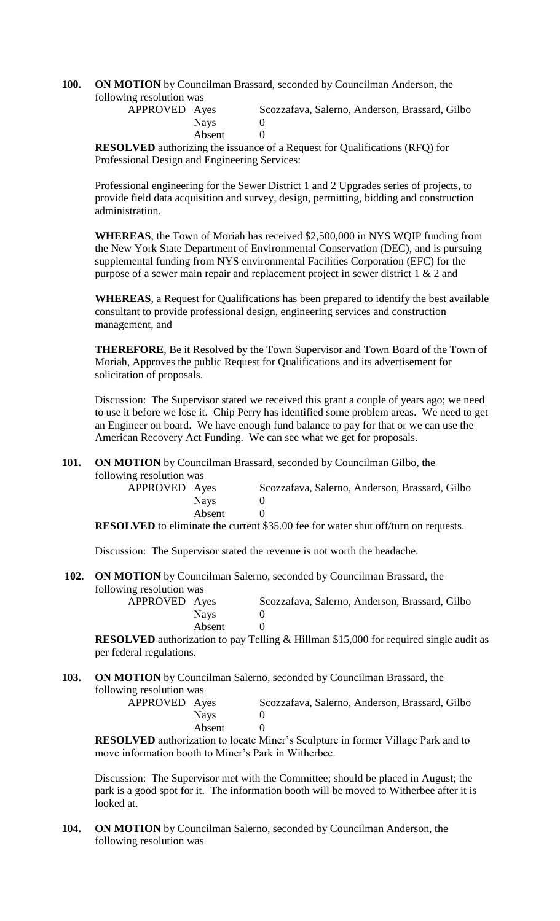## **100. ON MOTION** by Councilman Brassard, seconded by Councilman Anderson, the following resolution was

| APPROVED Ayes |             | Scozzafava, Salerno, Anderson, Brassard, Gilbo |
|---------------|-------------|------------------------------------------------|
|               | <b>Navs</b> |                                                |
|               | Absent      |                                                |

**RESOLVED** authorizing the issuance of a Request for Qualifications (RFQ) for Professional Design and Engineering Services:

Professional engineering for the Sewer District 1 and 2 Upgrades series of projects, to provide field data acquisition and survey, design, permitting, bidding and construction administration.

**WHEREAS**, the Town of Moriah has received \$2,500,000 in NYS WQIP funding from the New York State Department of Environmental Conservation (DEC), and is pursuing supplemental funding from NYS environmental Facilities Corporation (EFC) for the purpose of a sewer main repair and replacement project in sewer district 1 & 2 and

**WHEREAS**, a Request for Qualifications has been prepared to identify the best available consultant to provide professional design, engineering services and construction management, and

**THEREFORE**, Be it Resolved by the Town Supervisor and Town Board of the Town of Moriah, Approves the public Request for Qualifications and its advertisement for solicitation of proposals.

Discussion: The Supervisor stated we received this grant a couple of years ago; we need to use it before we lose it. Chip Perry has identified some problem areas. We need to get an Engineer on board. We have enough fund balance to pay for that or we can use the American Recovery Act Funding. We can see what we get for proposals.

#### **101. ON MOTION** by Councilman Brassard, seconded by Councilman Gilbo, the following resolution was

| $m_{\text{HIS}}$ resolution was |             |                                                |
|---------------------------------|-------------|------------------------------------------------|
| APPROVED Ayes                   |             | Scozzafava, Salerno, Anderson, Brassard, Gilbo |
|                                 | <b>Navs</b> |                                                |
|                                 | Absent      |                                                |

**RESOLVED** to eliminate the current \$35.00 fee for water shut off/turn on requests.

Discussion: The Supervisor stated the revenue is not worth the headache.

## **102. ON MOTION** by Councilman Salerno, seconded by Councilman Brassard, the following resolution was

| $\mu_{\rm A}$ resolution was |        |                                                |
|------------------------------|--------|------------------------------------------------|
| APPROVED Ayes                |        | Scozzafava, Salerno, Anderson, Brassard, Gilbo |
|                              | Navs   |                                                |
|                              | Absent |                                                |

**RESOLVED** authorization to pay Telling & Hillman \$15,000 for required single audit as per federal regulations.

## **103. ON MOTION** by Councilman Salerno, seconded by Councilman Brassard, the following resolution was

| APPROVED Ayes |        | Scozzafava, Salerno, Anderson, Brassard, Gilbo |
|---------------|--------|------------------------------------------------|
|               | Navs   |                                                |
|               | Absent |                                                |

**RESOLVED** authorization to locate Miner's Sculpture in former Village Park and to move information booth to Miner's Park in Witherbee.

Discussion: The Supervisor met with the Committee; should be placed in August; the park is a good spot for it. The information booth will be moved to Witherbee after it is looked at.

**104. ON MOTION** by Councilman Salerno, seconded by Councilman Anderson, the following resolution was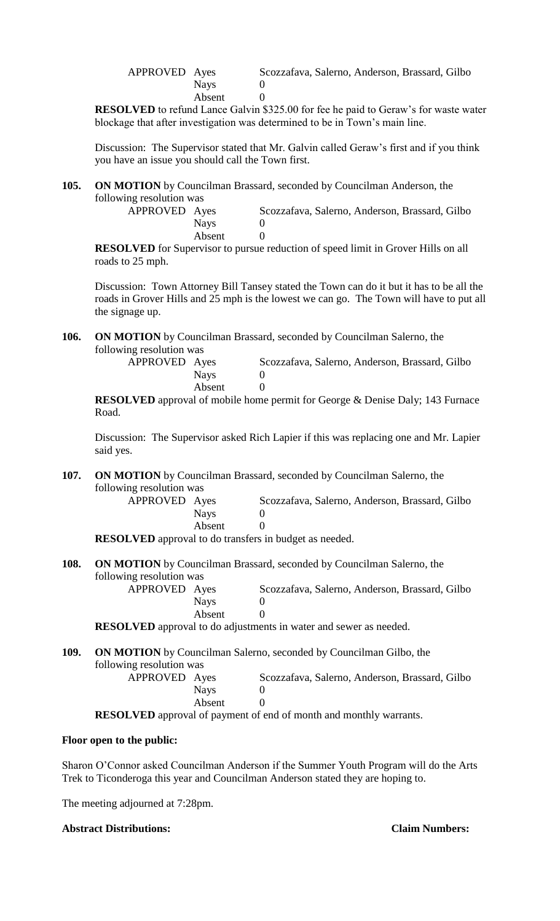| APPROVED Ayes |        | Scozzafava, Salerno, Anderson, Brassard, Gilbo |
|---------------|--------|------------------------------------------------|
|               | Nays   |                                                |
|               | Absent |                                                |

**RESOLVED** to refund Lance Galvin \$325.00 for fee he paid to Geraw's for waste water blockage that after investigation was determined to be in Town's main line.

Discussion: The Supervisor stated that Mr. Galvin called Geraw's first and if you think you have an issue you should call the Town first.

**105. ON MOTION** by Councilman Brassard, seconded by Councilman Anderson, the following resolution was

| APPROVED Ayes |        | Scozzafava, Salerno, Anderson, Brassard, Gilbo |
|---------------|--------|------------------------------------------------|
|               | Navs   |                                                |
|               | Absent |                                                |

**RESOLVED** for Supervisor to pursue reduction of speed limit in Grover Hills on all roads to 25 mph.

Discussion: Town Attorney Bill Tansey stated the Town can do it but it has to be all the roads in Grover Hills and 25 mph is the lowest we can go. The Town will have to put all the signage up.

**106. ON MOTION** by Councilman Brassard, seconded by Councilman Salerno, the following resolution was

| APPROVED Ayes |        | Scozzafava, Salerno, Anderson, Brassard, Gilbo |
|---------------|--------|------------------------------------------------|
|               | Navs   |                                                |
|               | Absent |                                                |

**RESOLVED** approval of mobile home permit for George & Denise Daly; 143 Furnace Road.

Discussion: The Supervisor asked Rich Lapier if this was replacing one and Mr. Lapier said yes.

**107. ON MOTION** by Councilman Brassard, seconded by Councilman Salerno, the following resolution was

| APPROVED Ayes |        | Scozzafava, Salerno, Anderson, Brassard, Gilbo |
|---------------|--------|------------------------------------------------|
|               | Navs   |                                                |
|               | Absent |                                                |
| T TITIN       |        |                                                |

**RESOLVED** approval to do transfers in budget as needed.

**108. ON MOTION** by Councilman Brassard, seconded by Councilman Salerno, the following resolution was APPROVED Ayes Scozzafava, Salerno, Anderson, Brassard, Gilbo

#### Nays 0 Absent 0

**RESOLVED** approval to do adjustments in water and sewer as needed.

**109. ON MOTION** by Councilman Salerno, seconded by Councilman Gilbo, the following resolution was APPROVED Ayes Scozzafava, Salerno, Anderson, Brassard, Gilbo Nays 0 Absent 0

**RESOLVED** approval of payment of end of month and monthly warrants.

# **Floor open to the public:**

Sharon O'Connor asked Councilman Anderson if the Summer Youth Program will do the Arts Trek to Ticonderoga this year and Councilman Anderson stated they are hoping to.

The meeting adjourned at 7:28pm.

# **Abstract Distributions: Claim Numbers:**